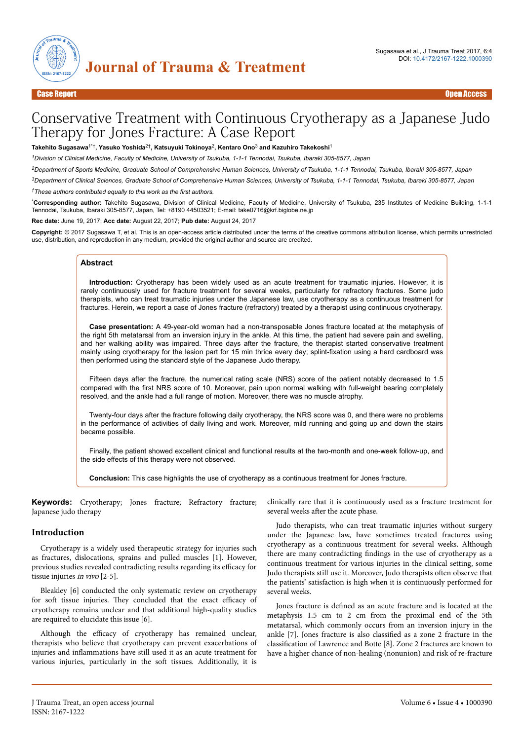

# Conservative Treatment with Continuous Cryotherapy as a Japanese Judo Therapy for Jones Fracture: A Case Report

**Takehito Sugasawa**1\*†**, Yasuko Yoshida**2†**, Katsuyuki Tokinoya**<sup>2</sup> **, Kentaro Ono**<sup>3</sup>  **and Kazuhiro Takekoshi**<sup>1</sup>

*<sup>1</sup>Division of Clinical Medicine, Faculty of Medicine, University of Tsukuba, 1-1-1 Tennodai, Tsukuba, Ibaraki 305-8577, Japan*

*<sup>2</sup>Department of Sports Medicine, Graduate School of Comprehensive Human Sciences, University of Tsukuba, 1-1-1 Tennodai, Tsukuba, Ibaraki 305-8577, Japan*

*<sup>3</sup>Department of Clinical Sciences, Graduate School of Comprehensive Human Sciences, University of Tsukuba, 1-1-1 Tennodai, Tsukuba, Ibaraki 305-8577, Japan*

*†These authors contributed equally to this work as the first authors.*

\***Corresponding author:** Takehito Sugasawa, Division of Clinical Medicine, Faculty of Medicine, University of Tsukuba, 235 Institutes of Medicine Building, 1-1-1 Tennodai, Tsukuba, Ibaraki 305-8577, Japan, Tel: +8190 44503521; E-mail: take0716@krf.biglobe.ne.jp

**Rec date:** June 19, 2017; **Acc date:** August 22, 2017; **Pub date:** August 24, 2017

**Copyright:** © 2017 Sugasawa T, et al. This is an open-access article distributed under the terms of the creative commons attribution license, which permits unrestricted use, distribution, and reproduction in any medium, provided the original author and source are credited.

#### **Abstract**

**Introduction:** Cryotherapy has been widely used as an acute treatment for traumatic injuries. However, it is rarely continuously used for fracture treatment for several weeks, particularly for refractory fractures. Some judo therapists, who can treat traumatic injuries under the Japanese law, use cryotherapy as a continuous treatment for fractures. Herein, we report a case of Jones fracture (refractory) treated by a therapist using continuous cryotherapy.

**Case presentation:** A 49-year-old woman had a non-transposable Jones fracture located at the metaphysis of the right 5th metatarsal from an inversion injury in the ankle. At this time, the patient had severe pain and swelling, and her walking ability was impaired. Three days after the fracture, the therapist started conservative treatment mainly using cryotherapy for the lesion part for 15 min thrice every day; splint-fixation using a hard cardboard was then performed using the standard style of the Japanese Judo therapy.

Fifteen days after the fracture, the numerical rating scale (NRS) score of the patient notably decreased to 1.5 compared with the first NRS score of 10. Moreover, pain upon normal walking with full-weight bearing completely resolved, and the ankle had a full range of motion. Moreover, there was no muscle atrophy.

Twenty-four days after the fracture following daily cryotherapy, the NRS score was 0, and there were no problems in the performance of activities of daily living and work. Moreover, mild running and going up and down the stairs became possible.

Finally, the patient showed excellent clinical and functional results at the two-month and one-week follow-up, and the side effects of this therapy were not observed.

**Conclusion:** This case highlights the use of cryotherapy as a continuous treatment for Jones fracture.

**Keywords:** Cryotherapy; Jones fracture; Refractory fracture; Japanese judo therapy

## **Introduction**

Cryotherapy is a widely used therapeutic strategy for injuries such as fractures, dislocations, sprains and pulled muscles [1]. However, previous studies revealed contradicting results regarding its efficacy for tissue injuries in vivo [2-5].

Bleakley [6] conducted the only systematic review on cryotherapy for soft tissue injuries. They concluded that the exact efficacy of cryotherapy remains unclear and that additional high-quality studies are required to elucidate this issue [6].

Although the efficacy of cryotherapy has remained unclear, therapists who believe that cryotherapy can prevent exacerbations of injuries and inflammations have still used it as an acute treatment for various injuries, particularly in the soft tissues. Additionally, it is

clinically rare that it is continuously used as a fracture treatment for several weeks after the acute phase.

Judo therapists, who can treat traumatic injuries without surgery under the Japanese law, have sometimes treated fractures using cryotherapy as a continuous treatment for several weeks. Although there are many contradicting findings in the use of cryotherapy as a continuous treatment for various injuries in the clinical setting, some Judo therapists still use it. Moreover, Judo therapists often observe that the patients' satisfaction is high when it is continuously performed for several weeks.

Jones fracture is defined as an acute fracture and is located at the metaphysis 1.5 cm to 2 cm from the proximal end of the 5th metatarsal, which commonly occurs from an inversion injury in the ankle [7]. Jones fracture is also classified as a zone 2 fracture in the classification of Lawrence and Botte [8]. Zone 2 fractures are known to have a higher chance of non-healing (nonunion) and risk of re-fracture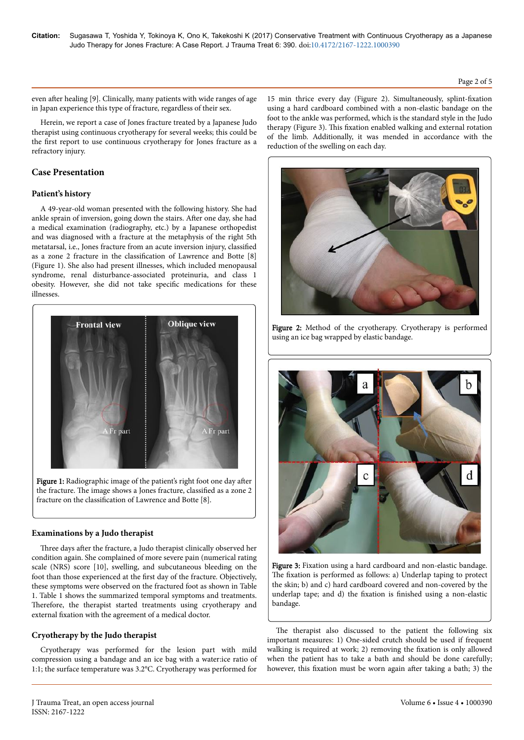#### Page 2 of 5

even after healing [9]. Clinically, many patients with wide ranges of age in Japan experience this type of fracture, regardless of their sex.

Herein, we report a case of Jones fracture treated by a Japanese Judo therapist using continuous cryotherapy for several weeks; this could be the first report to use continuous cryotherapy for Jones fracture as a refractory injury.

# **Case Presentation**

## **Patient's history**

A 49-year-old woman presented with the following history. She had ankle sprain of inversion, going down the stairs. After one day, she had a medical examination (radiography, etc.) by a Japanese orthopedist and was diagnosed with a fracture at the metaphysis of the right 5th metatarsal, i.e., Jones fracture from an acute inversion injury, classified as a zone 2 fracture in the classification of Lawrence and Botte [8] (Figure 1). She also had present illnesses, which included menopausal syndrome, renal disturbance-associated proteinuria, and class 1 obesity. However, she did not take specific medications for these illnesses.



Figure 1: Radiographic image of the patient's right foot one day after the fracture. The image shows a Jones fracture, classified as a zone 2 fracture on the classification of Lawrence and Botte [8].

# **Examinations by a Judo therapist**

Three days after the fracture, a Judo therapist clinically observed her condition again. She complained of more severe pain (numerical rating scale (NRS) score [10], swelling, and subcutaneous bleeding on the foot than those experienced at the first day of the fracture. Objectively, these symptoms were observed on the fractured foot as shown in Table 1. Table 1 shows the summarized temporal symptoms and treatments. Therefore, the therapist started treatments using cryotherapy and external fixation with the agreement of a medical doctor.

## **Cryotherapy by the Judo therapist**

Cryotherapy was performed for the lesion part with mild compression using a bandage and an ice bag with a water:ice ratio of 1:1; the surface temperature was 3.2°C. Cryotherapy was performed for

15 min thrice every day (Figure 2). Simultaneously, splint-fixation using a hard cardboard combined with a non-elastic bandage on the foot to the ankle was performed, which is the standard style in the Judo therapy (Figure 3). This fixation enabled walking and external rotation of the limb. Additionally, it was mended in accordance with the reduction of the swelling on each day.



Figure 2: Method of the cryotherapy. Cryotherapy is performed using an ice bag wrapped by elastic bandage.



Figure 3: Fixation using a hard cardboard and non-elastic bandage. The fixation is performed as follows: a) Underlap taping to protect the skin; b) and c) hard cardboard covered and non-covered by the underlap tape; and d) the fixation is finished using a non-elastic bandage.

The therapist also discussed to the patient the following six important measures: 1) One-sided crutch should be used if frequent walking is required at work; 2) removing the fixation is only allowed when the patient has to take a bath and should be done carefully; however, this fixation must be worn again after taking a bath; 3) the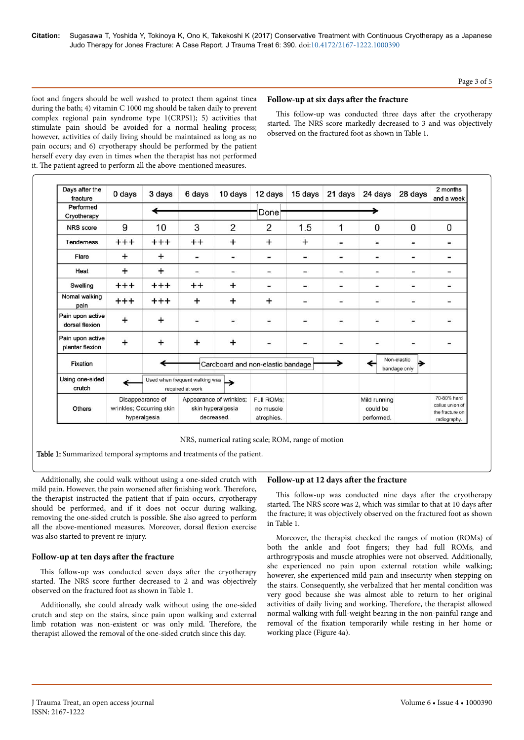# Page 3 of 5

foot and fingers should be well washed to protect them against tinea during the bath; 4) vitamin C 1000 mg should be taken daily to prevent complex regional pain syndrome type 1(CRPS1); 5) activities that stimulate pain should be avoided for a normal healing process; however, activities of daily living should be maintained as long as no pain occurs; and 6) cryotherapy should be performed by the patient herself every day even in times when the therapist has not performed it. Нe patient agreed to perform all the above-mentioned measures.

## Follow-up at six days after the fracture

This follow-up was conducted three days after the cryotherapy started. Нe NRS score markedly decreased to 3 and was objectively observed on the fractured foot as shown in Table 1.

| Days after the<br>fracture          | 0 days                                                       | 3 days    | 6 days                                                     | 10 days        | 12 days                               | 15 days   | 21 days                      | 24 days                                | 28 days                          | 2 months<br>and a week                                            |
|-------------------------------------|--------------------------------------------------------------|-----------|------------------------------------------------------------|----------------|---------------------------------------|-----------|------------------------------|----------------------------------------|----------------------------------|-------------------------------------------------------------------|
| Performed<br>Cryotherapy            |                                                              |           |                                                            |                | Done                                  |           |                              |                                        |                                  |                                                                   |
| <b>NRS</b> score                    | 9                                                            | 10        | 3                                                          | $\overline{2}$ | 2                                     | 1.5       | 1                            | $\Omega$                               | 0                                | 0                                                                 |
| <b>Tenderness</b>                   | $^{+ + +}$                                                   | $^{+++}$  | $^{++}$                                                    | $\ddot{}$      | $\ddot{}$                             | $\ddot{}$ |                              | -                                      | -                                |                                                                   |
| Flare                               | $\ddot{}$                                                    | +         | -                                                          | -              | -                                     | -         | -                            | -                                      | $\overline{\phantom{0}}$         |                                                                   |
| Heat                                | $\ddot{}$                                                    | $\div$    | -                                                          |                |                                       |           |                              | -                                      | -                                |                                                                   |
| Swelling                            | $^{+++}$                                                     | $^{+++}$  | $^{++}$                                                    | $\ddot{}$      |                                       | -         | $\qquad \qquad \blacksquare$ | -                                      | -                                |                                                                   |
| Nomal walking<br>pain               | $^{+++}$                                                     | $^{+++}$  | $\ddot{}$                                                  | $\ddot{}$      | $\ddot{}$                             |           |                              |                                        | -                                |                                                                   |
| Pain upon active<br>dorsal flexion  | $\ddot{}$                                                    | $\ddot{}$ | -                                                          | -              |                                       |           |                              | -                                      | -                                |                                                                   |
| Pain upon active<br>plantar flexion | $\ddot{}$                                                    | $\ddot{}$ | $\ddot{}$                                                  | $\ddot{}$      |                                       |           |                              |                                        |                                  |                                                                   |
| Fixation                            |                                                              |           | Cardboard and non-elastic bandage                          |                |                                       |           |                              |                                        | Non-elastic<br>▶<br>bandage only |                                                                   |
| Using one-sided<br>crutch           | Used when frequent walking was                               |           | required at work                                           |                |                                       |           |                              |                                        |                                  |                                                                   |
| <b>Others</b>                       | Disappearance of<br>wrinkles; Occurring skin<br>hyperalgesia |           | Appearance of wrinkles:<br>skin hyperalgesia<br>decreased. |                | Full ROMs:<br>no muscle<br>atrophies. |           |                              | Mild running<br>could be<br>performed. |                                  | 70-80% hard<br>callus union of<br>the fracture on<br>radiography. |



Table 1: Summarized temporal symptoms and treatments of the patient.

Additionally, she could walk without using a one-sided crutch with mild pain. However, the pain worsened after finishing work. Therefore, the therapist instructed the patient that if pain occurs, cryotherapy should be performed, and if it does not occur during walking, removing the one-sided crutch is possible. She also agreed to perform all the above-mentioned measures. Moreover, dorsal flexion exercise was also started to prevent re-injury.

## Follow-up at ten days after the fracture

This follow-up was conducted seven days after the cryotherapy started. Нe NRS score further decreased to 2 and was objectively observed on the fractured foot as shown in Table 1.

Additionally, she could already walk without using the one-sided crutch and step on the stairs, since pain upon walking and external limb rotation was non-existent or was only mild. Нerefore, the therapist allowed the removal of the one-sided crutch since this day.

## **Follow-up at 12 days after the fracture**

This follow-up was conducted nine days after the cryotherapy started. The NRS score was 2, which was similar to that at 10 days after the fracture; it was objectively observed on the fractured foot as shown in Table 1.

Moreover, the therapist checked the ranges of motion (ROMs) of both the ankle and foot fingers; they had full ROMs, and arthrogryposis and muscle atrophies were not observed. Additionally, she experienced no pain upon external rotation while walking; however, she experienced mild pain and insecurity when stepping on the stairs. Consequently, she verbalized that her mental condition was very good because she was almost able to return to her original activities of daily living and working. Нerefore, the therapist allowed normal walking with full-weight bearing in the non-painful range and removal of the fixation temporarily while resting in her home or working place (Figure 4a).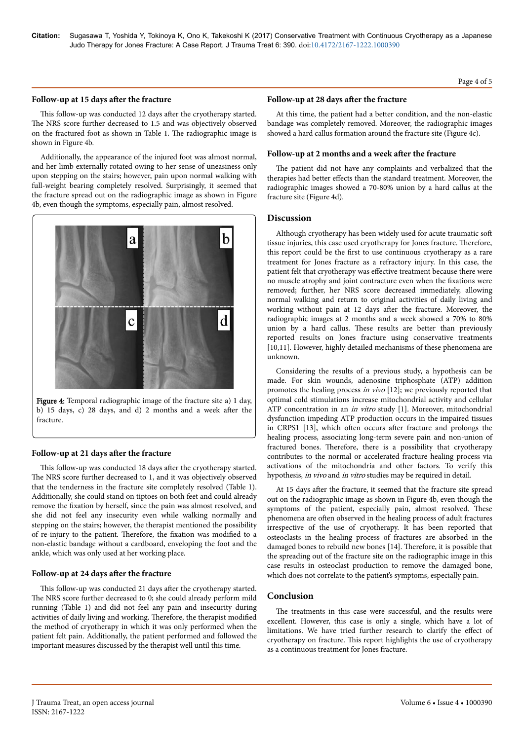#### Follow-up at 15 days after the fracture

This follow-up was conducted 12 days after the cryotherapy started. The NRS score further decreased to 1.5 and was objectively observed on the fractured foot as shown in Table 1. Нe radiographic image is shown in Figure 4b.

Additionally, the appearance of the injured foot was almost normal, and her limb externally rotated owing to her sense of uneasiness only upon stepping on the stairs; however, pain upon normal walking with full-weight bearing completely resolved. Surprisingly, it seemed that the fracture spread out on the radiographic image as shown in Figure 4b, even though the symptoms, especially pain, almost resolved.



Figure 4: Temporal radiographic image of the fracture site a) 1 day, b) 15 days, c) 28 days, and d) 2 months and a week after the fracture.

#### **Follow-up at 21 days after the fracture**

This follow-up was conducted 18 days after the cryotherapy started. The NRS score further decreased to 1, and it was objectively observed that the tenderness in the fracture site completely resolved (Table 1). Additionally, she could stand on tiptoes on both feet and could already remove the fixation by herself, since the pain was almost resolved, and she did not feel any insecurity even while walking normally and stepping on the stairs; however, the therapist mentioned the possibility of re-injury to the patient. Therefore, the fixation was modified to a non-elastic bandage without a cardboard, enveloping the foot and the ankle, which was only used at her working place.

#### Follow-up at 24 days after the fracture

This follow-up was conducted 21 days after the cryotherapy started. The NRS score further decreased to 0; she could already perform mild running (Table 1) and did not feel any pain and insecurity during activities of daily living and working. Нerefore, the therapist modified the method of cryotherapy in which it was only performed when the patient felt pain. Additionally, the patient performed and followed the important measures discussed by the therapist well until this time.

#### Follow-up at 28 days after the fracture

At this time, the patient had a better condition, and the non-elastic bandage was completely removed. Moreover, the radiographic images showed a hard callus formation around the fracture site (Figure 4c).

#### Follow-up at 2 months and a week after the fracture

The patient did not have any complaints and verbalized that the therapies had better effects than the standard treatment. Moreover, the radiographic images showed a 70-80% union by a hard callus at the fracture site (Figure 4d).

## **Discussion**

Although cryotherapy has been widely used for acute traumatic soft tissue injuries, this case used cryotherapy for Jones fracture. Нerefore, this report could be the first to use continuous cryotherapy as a rare treatment for Jones fracture as a refractory injury. In this case, the patient felt that cryotherapy was effective treatment because there were no muscle atrophy and joint contracture even when the fixations were removed; further, her NRS score decreased immediately, allowing normal walking and return to original activities of daily living and working without pain at 12 days after the fracture. Moreover, the radiographic images at 2 months and a week showed a 70% to 80% union by a hard callus. Нese results are better than previously reported results on Jones fracture using conservative treatments [10,11]. However, highly detailed mechanisms of these phenomena are unknown.

Considering the results of a previous study, a hypothesis can be made. For skin wounds, adenosine triphosphate (ATP) addition promotes the healing process in vivo [12]; we previously reported that optimal cold stimulations increase mitochondrial activity and cellular ATP concentration in an in vitro study [1]. Moreover, mitochondrial dysfunction impeding ATP production occurs in the impaired tissues in CRPS1 [13], which often occurs after fracture and prolongs the healing process, associating long-term severe pain and non-union of fractured bones. Нerefore, there is a possibility that cryotherapy contributes to the normal or accelerated fracture healing process via activations of the mitochondria and other factors. To verify this hypothesis, in vivo and in vitro studies may be required in detail.

At 15 days after the fracture, it seemed that the fracture site spread out on the radiographic image as shown in Figure 4b, even though the symptoms of the patient, especially pain, almost resolved. Нese phenomena are often observed in the healing process of adult fractures irrespective of the use of cryotherapy. It has been reported that osteoclasts in the healing process of fractures are absorbed in the damaged bones to rebuild new bones [14]. Нerefore, it is possible that the spreading out of the fracture site on the radiographic image in this case results in osteoclast production to remove the damaged bone, which does not correlate to the patient's symptoms, especially pain.

#### **Conclusion**

The treatments in this case were successful, and the results were excellent. However, this case is only a single, which have a lot of limitations. We have tried further research to clarify the effect of cryotherapy on fracture. Нis report highlights the use of cryotherapy as a continuous treatment for Jones fracture.

Page 4 of 5